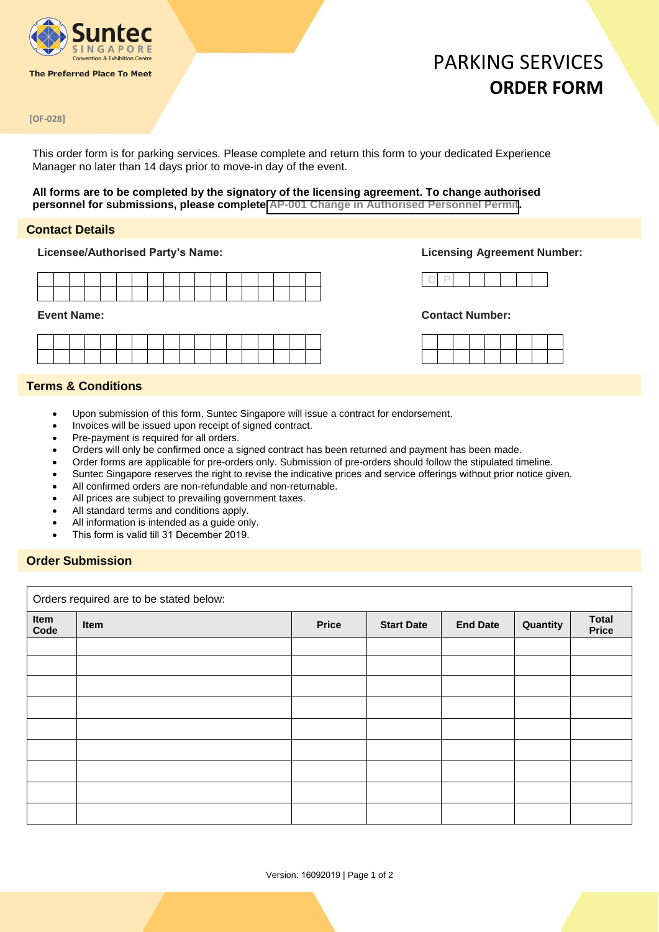

**The Preferred Place To Meet** 

## PARKING SERVICES **ORDER FORM**

#### **[OF-028]**

This order form is for parking services. Please complete and return this form to your dedicated Experience Manager no later than 14 days prior to move-in day of the event.

#### **All forms are to be completed by the signatory of the licensing agreement. To change authorised personnel for submissions, please complete [AP-001 Change in Authorised Personnel Permit](https://suntecsingapore.helpjuice.com/49829-permits/358902-ap-001-change-in-authorised-personnel-permit?from_search=32539632).**

#### **Contact Details**

**Licensee/Authorised Party's Name: Licensing Agreement Number:**

| and the contract of the contract of the contract of the contract of the contract of the contract of the contract of |  |  |                                                 |  |  | the contract of the contract of the contract of the contract of the contract of |  |                                         |  |
|---------------------------------------------------------------------------------------------------------------------|--|--|-------------------------------------------------|--|--|---------------------------------------------------------------------------------|--|-----------------------------------------|--|
|                                                                                                                     |  |  | the contract of the contract of the contract of |  |  |                                                                                 |  | and the contract of the contract of the |  |



#### **Event Name: Contact Number:**

### **Terms & Conditions**

- Upon submission of this form, Suntec Singapore will issue a contract for endorsement.
- Invoices will be issued upon receipt of signed contract.
- Pre-payment is required for all orders.
- Orders will only be confirmed once a signed contract has been returned and payment has been made.
- Order forms are applicable for pre-orders only. Submission of pre-orders should follow the stipulated timeline.
- Suntec Singapore reserves the right to revise the indicative prices and service offerings without prior notice given.
- All confirmed orders are non-refundable and non-returnable.
- All prices are subject to prevailing government taxes.
- All standard terms and conditions apply.
- All information is intended as a guide only.
- This form is valid till 31 December 2019.

### **Order Submission**

Orders required are to be stated below:

| Item<br>Code | Item | <b>Price</b> | <b>Start Date</b> | <b>End Date</b> | Quantity | <b>Total</b><br><b>Price</b> |
|--------------|------|--------------|-------------------|-----------------|----------|------------------------------|
|              |      |              |                   |                 |          |                              |
|              |      |              |                   |                 |          |                              |
|              |      |              |                   |                 |          |                              |
|              |      |              |                   |                 |          |                              |
|              |      |              |                   |                 |          |                              |
|              |      |              |                   |                 |          |                              |
|              |      |              |                   |                 |          |                              |
|              |      |              |                   |                 |          |                              |
|              |      |              |                   |                 |          |                              |